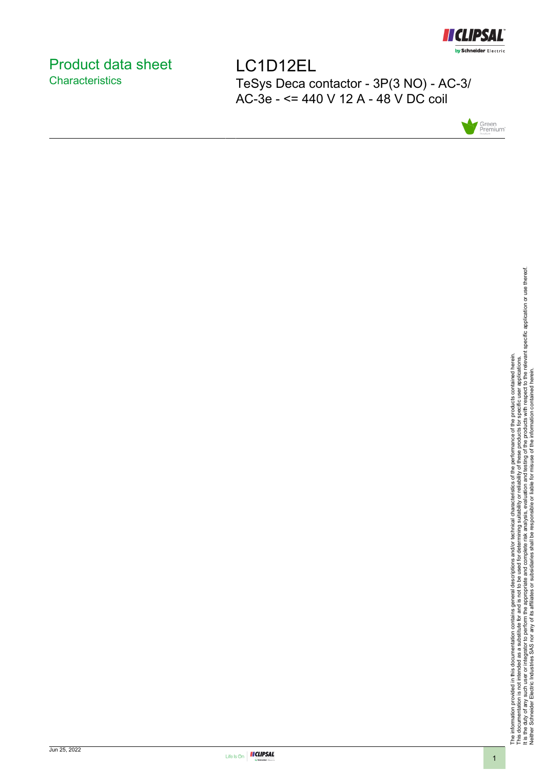

# <span id="page-0-0"></span>Product data sheet **Characteristics**

LC1D12EL TeSys Deca contactor - 3P(3 NO) - AC-3/ AC-3e - <= 440 V 12 A - 48 V DC coil



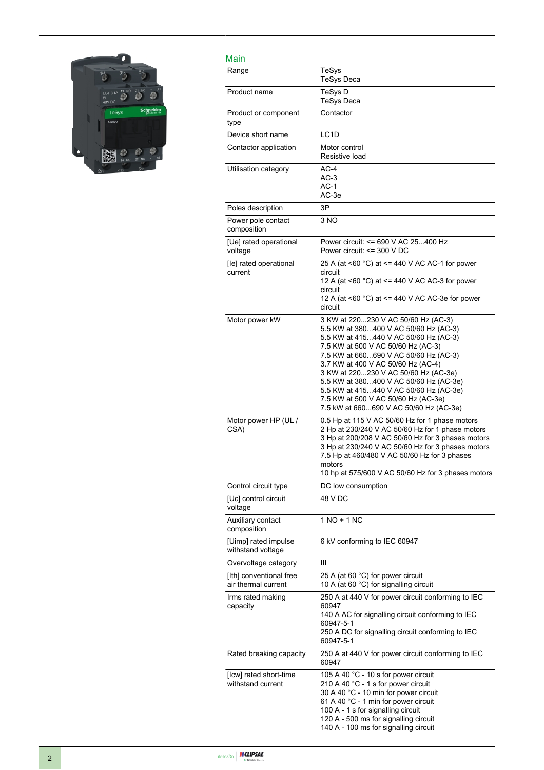

| Main                                           |                                                                                                                                                                                                                                                                                                                                                                                                                                                         |
|------------------------------------------------|---------------------------------------------------------------------------------------------------------------------------------------------------------------------------------------------------------------------------------------------------------------------------------------------------------------------------------------------------------------------------------------------------------------------------------------------------------|
| Range                                          | TeSys<br><b>TeSys Deca</b>                                                                                                                                                                                                                                                                                                                                                                                                                              |
| Product name                                   | TeSys D<br>TeSys Deca                                                                                                                                                                                                                                                                                                                                                                                                                                   |
| Product or component<br>type                   | Contactor                                                                                                                                                                                                                                                                                                                                                                                                                                               |
| Device short name                              | LC <sub>1</sub> D                                                                                                                                                                                                                                                                                                                                                                                                                                       |
| Contactor application                          | Motor control<br>Resistive load                                                                                                                                                                                                                                                                                                                                                                                                                         |
| Utilisation category                           | $AC-4$<br>$AC-3$<br>$AC-1$<br>AC-3e                                                                                                                                                                                                                                                                                                                                                                                                                     |
| Poles description                              | 3P                                                                                                                                                                                                                                                                                                                                                                                                                                                      |
| Power pole contact<br>composition              | 3 NO                                                                                                                                                                                                                                                                                                                                                                                                                                                    |
| [Ue] rated operational<br>voltage              | Power circuit: <= 690 V AC 25400 Hz<br>Power circuit: $\leq$ 300 V DC                                                                                                                                                                                                                                                                                                                                                                                   |
| [le] rated operational<br>current              | 25 A (at <60 °C) at <= 440 V AC AC-1 for power<br>circuit<br>12 A (at <60 $^{\circ}$ C) at <= 440 V AC AC-3 for power<br>circuit<br>12 A (at <60 °C) at <= 440 V AC AC-3e for power<br>circuit                                                                                                                                                                                                                                                          |
| Motor power kW                                 | 3 KW at 220230 V AC 50/60 Hz (AC-3)<br>5.5 KW at 380400 V AC 50/60 Hz (AC-3)<br>5.5 KW at 415440 V AC 50/60 Hz (AC-3)<br>7.5 KW at 500 V AC 50/60 Hz (AC-3)<br>7.5 KW at 660690 V AC 50/60 Hz (AC-3)<br>3.7 KW at 400 V AC 50/60 Hz (AC-4)<br>3 KW at 220230 V AC 50/60 Hz (AC-3e)<br>5.5 KW at 380400 V AC 50/60 Hz (AC-3e)<br>5.5 KW at 415440 V AC 50/60 Hz (AC-3e)<br>7.5 KW at 500 V AC 50/60 Hz (AC-3e)<br>7.5 kW at 660690 V AC 50/60 Hz (AC-3e) |
| Motor power HP (UL /<br>CSA)                   | 0.5 Hp at 115 V AC 50/60 Hz for 1 phase motors<br>2 Hp at 230/240 V AC 50/60 Hz for 1 phase motors<br>3 Hp at 200/208 V AC 50/60 Hz for 3 phases motors<br>3 Hp at 230/240 V AC 50/60 Hz for 3 phases motors<br>7.5 Hp at 460/480 V AC 50/60 Hz for 3 phases<br>motors<br>10 hp at 575/600 V AC 50/60 Hz for 3 phases motors                                                                                                                            |
| Control circuit type                           | DC low consumption                                                                                                                                                                                                                                                                                                                                                                                                                                      |
| [Uc] control circuit<br>voltage                | 48 V DC                                                                                                                                                                                                                                                                                                                                                                                                                                                 |
| Auxiliary contact<br>composition               | 1 NO + 1 NC                                                                                                                                                                                                                                                                                                                                                                                                                                             |
| [Uimp] rated impulse<br>withstand voltage      | 6 kV conforming to IEC 60947                                                                                                                                                                                                                                                                                                                                                                                                                            |
| Overvoltage category                           | Ш                                                                                                                                                                                                                                                                                                                                                                                                                                                       |
| [Ith] conventional free<br>air thermal current | 25 A (at 60 °C) for power circuit<br>10 A (at 60 °C) for signalling circuit                                                                                                                                                                                                                                                                                                                                                                             |
| Irms rated making<br>capacity                  | 250 A at 440 V for power circuit conforming to IEC<br>60947<br>140 A AC for signalling circuit conforming to IEC<br>60947-5-1<br>250 A DC for signalling circuit conforming to IEC<br>60947-5-1                                                                                                                                                                                                                                                         |
| Rated breaking capacity                        | 250 A at 440 V for power circuit conforming to IEC<br>60947                                                                                                                                                                                                                                                                                                                                                                                             |
| [Icw] rated short-time<br>withstand current    | 105 A 40 °C - 10 s for power circuit<br>210 A 40 °C - 1 s for power circuit<br>30 A 40 °C - 10 min for power circuit<br>61 A 40 °C - 1 min for power circuit<br>100 A - 1 s for signalling circuit<br>120 A - 500 ms for signalling circuit<br>140 A - 100 ms for signalling circuit                                                                                                                                                                    |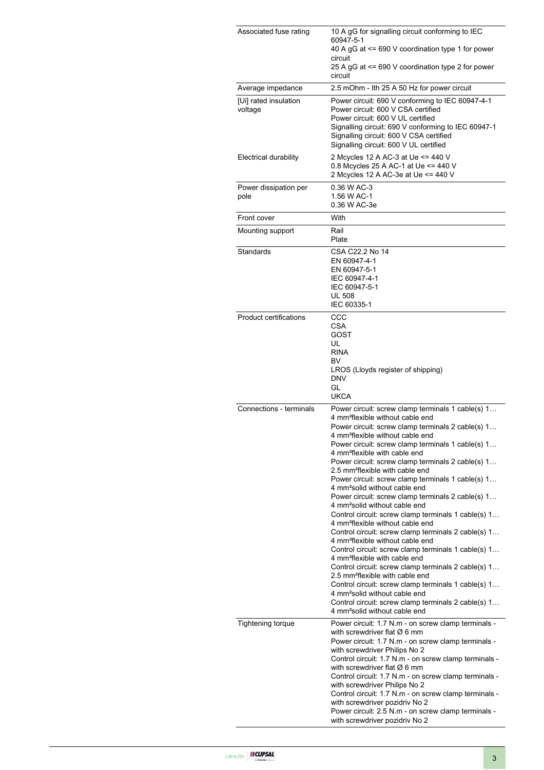| Associated fuse rating           | 10 A gG for signalling circuit conforming to IEC<br>60947-5-1<br>40 A gG at <= 690 V coordination type 1 for power<br>circuit<br>25 A gG at <= 690 V coordination type 2 for power                                                                                                                                                                                                                                                                                                                                                                                                                                                                                                                                                                                                                                                                                                                                                                                                                                                                                                                                                                                                                                                               |
|----------------------------------|--------------------------------------------------------------------------------------------------------------------------------------------------------------------------------------------------------------------------------------------------------------------------------------------------------------------------------------------------------------------------------------------------------------------------------------------------------------------------------------------------------------------------------------------------------------------------------------------------------------------------------------------------------------------------------------------------------------------------------------------------------------------------------------------------------------------------------------------------------------------------------------------------------------------------------------------------------------------------------------------------------------------------------------------------------------------------------------------------------------------------------------------------------------------------------------------------------------------------------------------------|
| Average impedance                | circuit<br>2.5 mOhm - Ith 25 A 50 Hz for power circuit                                                                                                                                                                                                                                                                                                                                                                                                                                                                                                                                                                                                                                                                                                                                                                                                                                                                                                                                                                                                                                                                                                                                                                                           |
| [Ui] rated insulation<br>voltage | Power circuit: 690 V conforming to IEC 60947-4-1<br>Power circuit: 600 V CSA certified<br>Power circuit: 600 V UL certified<br>Signalling circuit: 690 V conforming to IEC 60947-1<br>Signalling circuit: 600 V CSA certified<br>Signalling circuit: 600 V UL certified                                                                                                                                                                                                                                                                                                                                                                                                                                                                                                                                                                                                                                                                                                                                                                                                                                                                                                                                                                          |
| Electrical durability            | 2 Mcycles 12 A AC-3 at Ue <= 440 V<br>0.8 Mcycles 25 A AC-1 at Ue <= 440 V<br>2 Mcycles 12 A AC-3e at Ue <= 440 V                                                                                                                                                                                                                                                                                                                                                                                                                                                                                                                                                                                                                                                                                                                                                                                                                                                                                                                                                                                                                                                                                                                                |
| Power dissipation per<br>pole    | 0.36 W AC-3<br>1.56 W AC-1<br>0.36 W AC-3e                                                                                                                                                                                                                                                                                                                                                                                                                                                                                                                                                                                                                                                                                                                                                                                                                                                                                                                                                                                                                                                                                                                                                                                                       |
| Front cover                      | With                                                                                                                                                                                                                                                                                                                                                                                                                                                                                                                                                                                                                                                                                                                                                                                                                                                                                                                                                                                                                                                                                                                                                                                                                                             |
| Mounting support                 | Rail<br>Plate                                                                                                                                                                                                                                                                                                                                                                                                                                                                                                                                                                                                                                                                                                                                                                                                                                                                                                                                                                                                                                                                                                                                                                                                                                    |
| Standards                        | CSA C22.2 No 14<br>EN 60947-4-1<br>EN 60947-5-1<br>IEC 60947-4-1<br>IEC 60947-5-1<br><b>UL 508</b><br>IEC 60335-1                                                                                                                                                                                                                                                                                                                                                                                                                                                                                                                                                                                                                                                                                                                                                                                                                                                                                                                                                                                                                                                                                                                                |
| <b>Product certifications</b>    | CCC<br>CSA<br>GOST<br>UL<br><b>RINA</b><br>BV<br>LROS (Lloyds register of shipping)<br><b>DNV</b><br>GL<br><b>UKCA</b>                                                                                                                                                                                                                                                                                                                                                                                                                                                                                                                                                                                                                                                                                                                                                                                                                                                                                                                                                                                                                                                                                                                           |
| Connections - terminals          | Power circuit: screw clamp terminals 1 cable(s) 1<br>4 mm <sup>2</sup> flexible without cable end<br>Power circuit: screw clamp terminals 2 cable(s) 1<br>4 mm <sup>2</sup> flexible without cable end<br>Power circuit: screw clamp terminals 1 cable(s) 1<br>4 mm <sup>2</sup> flexible with cable end<br>Power circuit: screw clamp terminals 2 cable(s) 1<br>2.5 mm <sup>2</sup> flexible with cable end<br>Power circuit: screw clamp terminals 1 cable(s) 1<br>4 mm <sup>2</sup> solid without cable end<br>Power circuit: screw clamp terminals 2 cable(s) 1<br>4 mm <sup>2</sup> solid without cable end<br>Control circuit: screw clamp terminals 1 cable(s) 1<br>4 mm <sup>2</sup> flexible without cable end<br>Control circuit: screw clamp terminals 2 cable(s) 1<br>4 mm <sup>2</sup> flexible without cable end<br>Control circuit: screw clamp terminals 1 cable(s) 1<br>4 mm <sup>2</sup> flexible with cable end<br>Control circuit: screw clamp terminals 2 cable(s) 1<br>2.5 mm <sup>2</sup> flexible with cable end<br>Control circuit: screw clamp terminals 1 cable(s) 1<br>4 mm <sup>2</sup> solid without cable end<br>Control circuit: screw clamp terminals 2 cable(s) 1<br>4 mm <sup>2</sup> solid without cable end |
| <b>Tightening torque</b>         | Power circuit: 1.7 N.m - on screw clamp terminals -<br>with screwdriver flat $\varnothing$ 6 mm<br>Power circuit: 1.7 N.m - on screw clamp terminals -<br>with screwdriver Philips No 2<br>Control circuit: 1.7 N.m - on screw clamp terminals -<br>with screwdriver flat $\varnothing$ 6 mm<br>Control circuit: 1.7 N.m - on screw clamp terminals -<br>with screwdriver Philips No 2<br>Control circuit: 1.7 N.m - on screw clamp terminals -<br>with screwdriver pozidriv No 2<br>Power circuit: 2.5 N.m - on screw clamp terminals -<br>with screwdriver pozidriv No 2                                                                                                                                                                                                                                                                                                                                                                                                                                                                                                                                                                                                                                                                       |

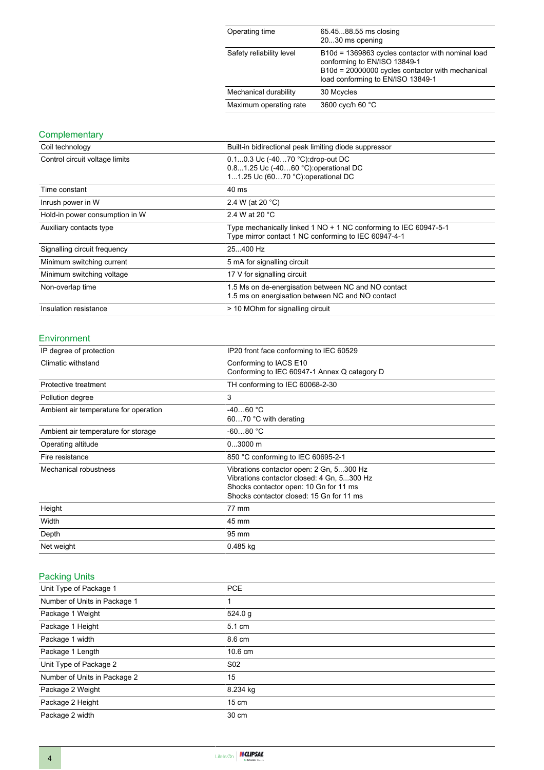| Operating time           | 65.4588.55 ms closing<br>2030 ms opening                                                                                                                                   |
|--------------------------|----------------------------------------------------------------------------------------------------------------------------------------------------------------------------|
| Safety reliability level | B10d = 1369863 cycles contactor with nominal load<br>conforming to EN/ISO 13849-1<br>B10d = 20000000 cycles contactor with mechanical<br>load conforming to EN/ISO 13849-1 |
| Mechanical durability    | 30 Mcycles                                                                                                                                                                 |
| Maximum operating rate   | 3600 cyc/h 60 °C                                                                                                                                                           |

# **Complementary**

| Coil technology                | Built-in bidirectional peak limiting diode suppressor                                                                    |
|--------------------------------|--------------------------------------------------------------------------------------------------------------------------|
| Control circuit voltage limits | 0.10.3 Uc (-4070 °C): drop-out DC<br>0.81.25 Uc (-4060 °C): operational DC<br>11.25 Uc (6070 °C): operational DC         |
| Time constant                  | 40 ms                                                                                                                    |
| Inrush power in W              | 2.4 W (at 20 $^{\circ}$ C)                                                                                               |
| Hold-in power consumption in W | 2.4 W at 20 °C                                                                                                           |
| Auxiliary contacts type        | Type mechanically linked 1 NO + 1 NC conforming to IEC 60947-5-1<br>Type mirror contact 1 NC conforming to IEC 60947-4-1 |
| Signalling circuit frequency   | 25400 Hz                                                                                                                 |
| Minimum switching current      | 5 mA for signalling circuit                                                                                              |
| Minimum switching voltage      | 17 V for signalling circuit                                                                                              |
| Non-overlap time               | 1.5 Ms on de-energisation between NC and NO contact<br>1.5 ms on energisation between NC and NO contact                  |
| Insulation resistance          | > 10 MOhm for signalling circuit                                                                                         |

#### Environment

| IP degree of protection               | IP20 front face conforming to IEC 60529                                                                                                                                      |  |
|---------------------------------------|------------------------------------------------------------------------------------------------------------------------------------------------------------------------------|--|
| Climatic withstand                    | Conforming to IACS E10<br>Conforming to IEC 60947-1 Annex Q category D                                                                                                       |  |
| Protective treatment                  | TH conforming to IEC 60068-2-30                                                                                                                                              |  |
| Pollution degree                      | 3                                                                                                                                                                            |  |
| Ambient air temperature for operation | $-4060 °C$<br>6070 °C with derating                                                                                                                                          |  |
| Ambient air temperature for storage   | $-6080 °C$                                                                                                                                                                   |  |
| Operating altitude                    | $03000$ m                                                                                                                                                                    |  |
| Fire resistance                       | 850 °C conforming to IEC 60695-2-1                                                                                                                                           |  |
| Mechanical robustness                 | Vibrations contactor open: 2 Gn, 5300 Hz<br>Vibrations contactor closed: 4 Gn, 5300 Hz<br>Shocks contactor open: 10 Gn for 11 ms<br>Shocks contactor closed: 15 Gn for 11 ms |  |
| Height                                | 77 mm                                                                                                                                                                        |  |
| Width                                 | 45 mm                                                                                                                                                                        |  |
| Depth                                 | 95 mm                                                                                                                                                                        |  |
| Net weight                            | $0.485$ kg                                                                                                                                                                   |  |

## Packing Units

| Unit Type of Package 1       | <b>PCE</b>      |  |
|------------------------------|-----------------|--|
| Number of Units in Package 1 |                 |  |
| Package 1 Weight             | 524.0 g         |  |
| Package 1 Height             | 5.1 cm          |  |
| Package 1 width              | 8.6 cm          |  |
| Package 1 Length             | 10.6 cm         |  |
| Unit Type of Package 2       | S <sub>02</sub> |  |
| Number of Units in Package 2 | 15              |  |
| Package 2 Weight             | 8.234 kg        |  |
| Package 2 Height             | $15 \text{ cm}$ |  |
| Package 2 width              | 30 cm           |  |